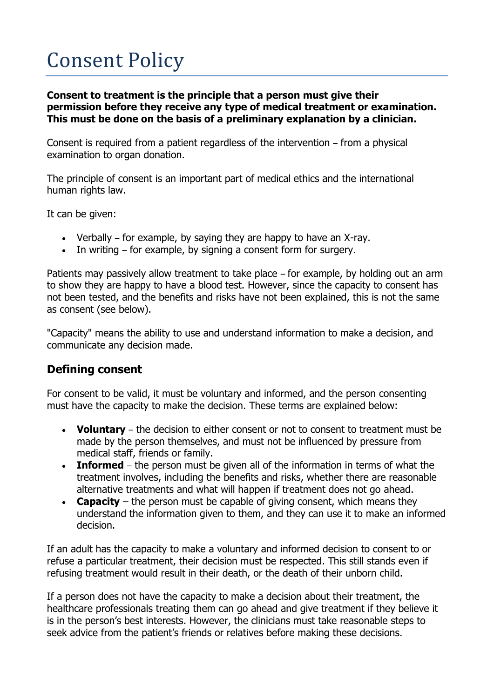## Consent Policy

**Consent to treatment is the principle that a person must give their permission before they receive any type of medical treatment or examination. This must be done on the basis of a preliminary explanation by a clinician.**

Consent is required from a patient regardless of the intervention – from a physical examination to [organ donation.](http://www.nhs.uk/Conditions/Organ-donation/Pages/Introduction.aspx)

The principle of consent is an important part of medical ethics and the international human rights law.

It can be given:

- Verbally for example, by saying they are happy to have an X-ray.
- In writing for example, by signing a consent form for surgery.

Patients may passively allow treatment to take place – for example, by holding out an arm to show they are happy to have a [blood test.](http://www.nhs.uk/conditions/Blood-tests/Pages/Introduction.aspx) However, since the capacity to consent has not been tested, and the benefits and risks have not been explained, this is not the same as consent (see below).

"Capacity" means the ability to use and understand information to make a decision, and communicate any decision made.

## **Defining consent**

For consent to be valid, it must be voluntary and informed, and the person consenting must have the capacity to make the decision. These terms are explained below:

- **Voluntary** the decision to either consent or not to consent to treatment must be made by the person themselves, and must not be influenced by pressure from medical staff, friends or family.
- **Informed** the person must be given all of the information in terms of what the treatment involves, including the benefits and risks, whether there are reasonable alternative treatments and what will happen if treatment does not go ahead.
- **Capacity** the person must be capable of giving consent, which means they understand the information given to them, and they can use it to make an informed decision.

If an adult has the capacity to make a voluntary and informed decision to consent to or refuse a particular treatment, their decision must be respected. This still stands even if refusing treatment would result in their death, or the death of their unborn child.

If a person does not have the capacity to make a decision about their treatment, the healthcare professionals treating them can go ahead and give treatment if they believe it is in the person's best interests. However, the clinicians must take reasonable steps to seek advice from the patient's friends or relatives before making these decisions.